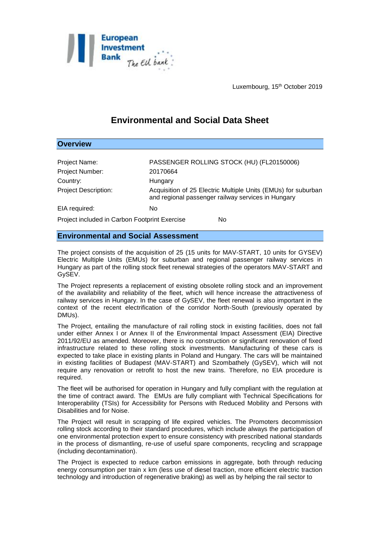

**Overview**

Luxembourg, 15<sup>th</sup> October 2019

## **Environmental and Social Data Sheet**

## Project Name: PASSENGER ROLLING STOCK (HU) (FL20150006) Project Number: 20170664 Country: Hungary Project Description: Acquisition of 25 Electric Multiple Units (EMUs) for suburban and regional passenger railway services in Hungary EIA required: No Project included in Carbon Footprint Exercise No

## **Environmental and Social Assessment**

The project consists of the acquisition of 25 (15 units for MAV-START, 10 units for GYSEV) Electric Multiple Units (EMUs) for suburban and regional passenger railway services in Hungary as part of the rolling stock fleet renewal strategies of the operators MAV-START and GySEV.

The Project represents a replacement of existing obsolete rolling stock and an improvement of the availability and reliability of the fleet, which will hence increase the attractiveness of railway services in Hungary. In the case of GySEV, the fleet renewal is also important in the context of the recent electrification of the corridor North-South (previously operated by DMUs).

The Project, entailing the manufacture of rail rolling stock in existing facilities, does not fall under either Annex I or Annex II of the Environmental Impact Assessment (EIA) Directive 2011/92/EU as amended. Moreover, there is no construction or significant renovation of fixed infrastructure related to these rolling stock investments. Manufacturing of these cars is expected to take place in existing plants in Poland and Hungary. The cars will be maintained in existing facilities of Budapest (MAV-START) and Szombathely (GySEV), which will not require any renovation or retrofit to host the new trains. Therefore, no EIA procedure is required.

The fleet will be authorised for operation in Hungary and fully compliant with the regulation at the time of contract award. The EMUs are fully compliant with Technical Specifications for Interoperability (TSIs) for Accessibility for Persons with Reduced Mobility and Persons with Disabilities and for Noise.

The Project will result in scrapping of life expired vehicles. The Promoters decommission rolling stock according to their standard procedures, which include always the participation of one environmental protection expert to ensure consistency with prescribed national standards in the process of dismantling, re-use of useful spare components, recycling and scrappage (including decontamination).

The Project is expected to reduce carbon emissions in aggregate, both through reducing energy consumption per train x km (less use of diesel traction, more efficient electric traction technology and introduction of regenerative braking) as well as by helping the rail sector to